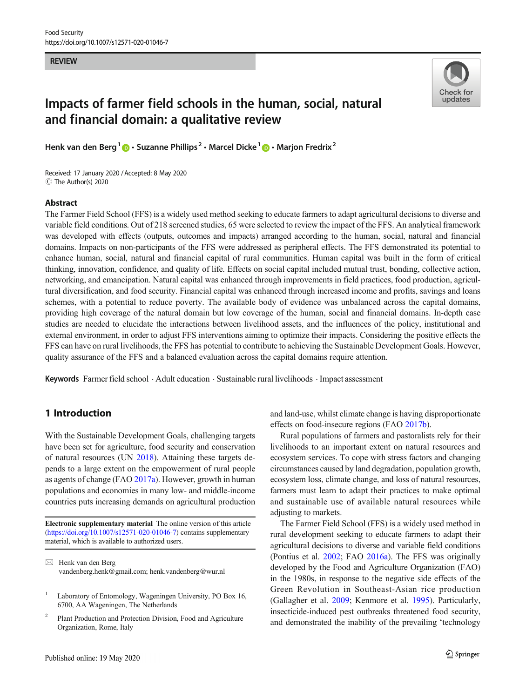**REVIEW** 



# Impacts of farmer field schools in the human, social, natural and financial domain: a qualitative review

Henk van den Berg<sup>1</sup>  $\mathbf{D} \cdot$  Suzanne Phillips<sup>2</sup>  $\cdot$  Marcel Dicke<sup>1</sup>  $\mathbf{D} \cdot$  Marjon Fredrix<sup>2</sup>

Received: 17 January 2020 /Accepted: 8 May 2020 C The Author(s) 2020

# Abstract

The Farmer Field School (FFS) is a widely used method seeking to educate farmers to adapt agricultural decisions to diverse and variable field conditions. Out of 218 screened studies, 65 were selected to review the impact of the FFS. An analytical framework was developed with effects (outputs, outcomes and impacts) arranged according to the human, social, natural and financial domains. Impacts on non-participants of the FFS were addressed as peripheral effects. The FFS demonstrated its potential to enhance human, social, natural and financial capital of rural communities. Human capital was built in the form of critical thinking, innovation, confidence, and quality of life. Effects on social capital included mutual trust, bonding, collective action, networking, and emancipation. Natural capital was enhanced through improvements in field practices, food production, agricultural diversification, and food security. Financial capital was enhanced through increased income and profits, savings and loans schemes, with a potential to reduce poverty. The available body of evidence was unbalanced across the capital domains, providing high coverage of the natural domain but low coverage of the human, social and financial domains. In-depth case studies are needed to elucidate the interactions between livelihood assets, and the influences of the policy, institutional and external environment, in order to adjust FFS interventions aiming to optimize their impacts. Considering the positive effects the FFS can have on rural livelihoods, the FFS has potential to contribute to achieving the Sustainable Development Goals. However, quality assurance of the FFS and a balanced evaluation across the capital domains require attention.

Keywords Farmer field school . Adult education . Sustainable rural livelihoods . Impact assessment

# 1 Introduction

With the Sustainable Development Goals, challenging targets have been set for agriculture, food security and conservation of natural resources (UN [2018](#page-15-0)). Attaining these targets depends to a large extent on the empowerment of rural people as agents of change (FAO [2017a\)](#page-14-0). However, growth in human populations and economies in many low- and middle-income countries puts increasing demands on agricultural production

Electronic supplementary material The online version of this article ([https://doi.org/10.1007/s12571-020-01046-7\)](https://doi.org/10.1007/s12571-020-01046-7) contains supplementary material, which is available to authorized users.

<sup>2</sup> Plant Production and Protection Division, Food and Agriculture Organization, Rome, Italy

Published online: 19 May 2020

and land-use, whilst climate change is having disproportionate effects on food-insecure regions (FAO [2017b](#page-14-0)).

Rural populations of farmers and pastoralists rely for their livelihoods to an important extent on natural resources and ecosystem services. To cope with stress factors and changing circumstances caused by land degradation, population growth, ecosystem loss, climate change, and loss of natural resources, farmers must learn to adapt their practices to make optimal and sustainable use of available natural resources while adjusting to markets.

The Farmer Field School (FFS) is a widely used method in rural development seeking to educate farmers to adapt their agricultural decisions to diverse and variable field conditions (Pontius et al. [2002;](#page-15-0) FAO [2016a](#page-14-0)). The FFS was originally developed by the Food and Agriculture Organization (FAO) in the 1980s, in response to the negative side effects of the Green Revolution in Southeast-Asian rice production (Gallagher et al. [2009;](#page-14-0) Kenmore et al. [1995\)](#page-14-0). Particularly, insecticide-induced pest outbreaks threatened food security, and demonstrated the inability of the prevailing 'technology

 $\boxtimes$  Henk van den Berg [vandenberg.henk@gmail.com](mailto:vandenberg.henk@gmail.com); [henk.vandenberg@wur.nl](mailto:henk.vandenberg@wur.nl)

Laboratory of Entomology, Wageningen University, PO Box 16, 6700, AA Wageningen, The Netherlands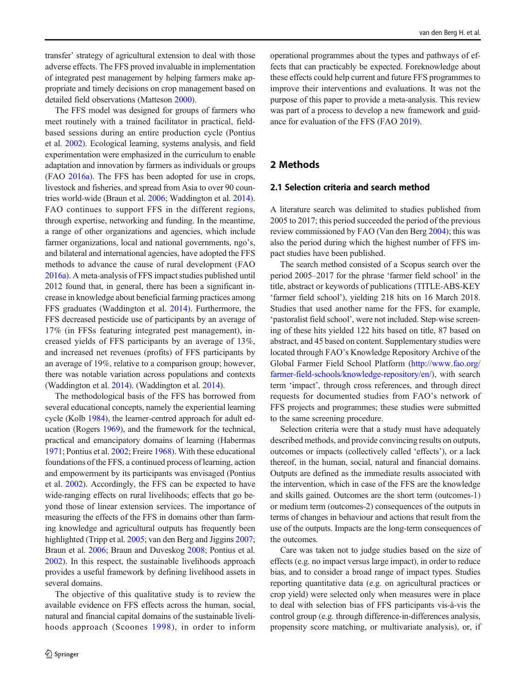transfer' strategy of agricultural extension to deal with those adverse effects. The FFS proved invaluable in implementation of integrated pest management by helping farmers make appropriate and timely decisions on crop management based on detailed field observations (Matteson [2000](#page-14-0)).

The FFS model was designed for groups of farmers who meet routinely with a trained facilitator in practical, fieldbased sessions during an entire production cycle (Pontius et al. [2002](#page-15-0)). Ecological learning, systems analysis, and field experimentation were emphasized in the curriculum to enable adaptation and innovation by farmers as individuals or groups (FAO [2016a](#page-14-0)). The FFS has been adopted for use in crops, livestock and fisheries, and spread from Asia to over 90 countries world-wide (Braun et al. [2006](#page-13-0); Waddington et al. [2014\)](#page-15-0). FAO continues to support FFS in the different regions, through expertise, networking and funding. In the meantime, a range of other organizations and agencies, which include farmer organizations, local and national governments, ngo's, and bilateral and international agencies, have adopted the FFS methods to advance the cause of rural development (FAO [2016a\)](#page-14-0). A meta-analysis of FFS impact studies published until 2012 found that, in general, there has been a significant increase in knowledge about beneficial farming practices among FFS graduates (Waddington et al. [2014](#page-15-0)). Furthermore, the FFS decreased pesticide use of participants by an average of 17% (in FFSs featuring integrated pest management), increased yields of FFS participants by an average of 13%, and increased net revenues (profits) of FFS participants by an average of 19%, relative to a comparison group; however, there was notable variation across populations and contexts (Waddington et al. [2014\)](#page-15-0). (Waddington et al. [2014](#page-15-0)).

The methodological basis of the FFS has borrowed from several educational concepts, namely the experiential learning cycle (Kolb [1984\)](#page-14-0), the learner-centred approach for adult education (Rogers [1969](#page-15-0)), and the framework for the technical, practical and emancipatory domains of learning (Habermas [1971;](#page-14-0) Pontius et al. [2002;](#page-15-0) Freire [1968](#page-14-0)). With these educational foundations of the FFS, a continued process of learning, action and empowerment by its participants was envisaged (Pontius et al. [2002\)](#page-15-0). Accordingly, the FFS can be expected to have wide-ranging effects on rural livelihoods; effects that go beyond those of linear extension services. The importance of measuring the effects of the FFS in domains other than farming knowledge and agricultural outputs has frequently been highlighted (Tripp et al. [2005;](#page-15-0) van den Berg and Jiggins [2007](#page-15-0); Braun et al. [2006;](#page-13-0) Braun and Duveskog [2008;](#page-13-0) Pontius et al. [2002\)](#page-15-0). In this respect, the sustainable livelihoods approach provides a useful framework by defining livelihood assets in several domains.

The objective of this qualitative study is to review the available evidence on FFS effects across the human, social, natural and financial capital domains of the sustainable livelihoods approach (Scoones [1998](#page-15-0)), in order to inform operational programmes about the types and pathways of effects that can practicably be expected. Foreknowledge about these effects could help current and future FFS programmes to improve their interventions and evaluations. It was not the purpose of this paper to provide a meta-analysis. This review was part of a process to develop a new framework and guidance for evaluation of the FFS (FAO [2019](#page-14-0)).

# 2 Methods

# 2.1 Selection criteria and search method

A literature search was delimited to studies published from 2005 to 2017; this period succeeded the period of the previous review commissioned by FAO (Van den Berg [2004](#page-15-0)); this was also the period during which the highest number of FFS impact studies have been published.

The search method consisted of a Scopus search over the period 2005–2017 for the phrase 'farmer field school' in the title, abstract or keywords of publications (TITLE-ABS-KEY 'farmer field school'), yielding 218 hits on 16 March 2018. Studies that used another name for the FFS, for example, 'pastoralist field school', were not included. Step-wise screening of these hits yielded 122 hits based on title, 87 based on abstract, and 45 based on content. Supplementary studies were located through FAO's Knowledge Repository Archive of the Global Farmer Field School Platform ([http://www.fao.org/](http://creativecommons.org/licenses/by/4.0/) [farmer-field-schools/knowledge-repository/en/\)](http://creativecommons.org/licenses/by/4.0/), with search term 'impact', through cross references, and through direct requests for documented studies from FAO's network of FFS projects and programmes; these studies were submitted to the same screening procedure.

Selection criteria were that a study must have adequately described methods, and provide convincing results on outputs, outcomes or impacts (collectively called 'effects'), or a lack thereof, in the human, social, natural and financial domains. Outputs are defined as the immediate results associated with the intervention, which in case of the FFS are the knowledge and skills gained. Outcomes are the short term (outcomes-1) or medium term (outcomes-2) consequences of the outputs in terms of changes in behaviour and actions that result from the use of the outputs. Impacts are the long-term consequences of the outcomes.

Care was taken not to judge studies based on the size of effects (e.g. no impact versus large impact), in order to reduce bias, and to consider a broad range of impact types. Studies reporting quantitative data (e.g. on agricultural practices or crop yield) were selected only when measures were in place to deal with selection bias of FFS participants vis-à-vis the control group (e.g. through difference-in-differences analysis, propensity score matching, or multivariate analysis), or, if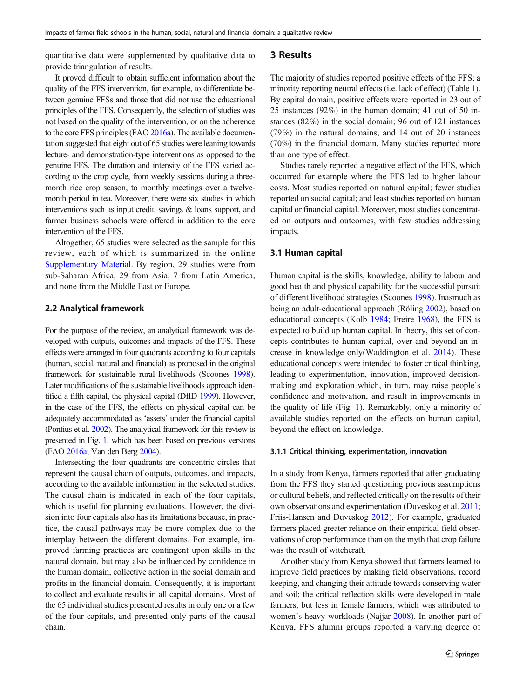quantitative data were supplemented by qualitative data to provide triangulation of results.

It proved difficult to obtain sufficient information about the quality of the FFS intervention, for example, to differentiate between genuine FFSs and those that did not use the educational principles of the FFS. Consequently, the selection of studies was not based on the quality of the intervention, or on the adherence to the core FFS principles (FAO [2016a](#page-14-0)). The available documentation suggested that eight out of 65 studies were leaning towards lecture- and demonstration-type interventions as opposed to the genuine FFS. The duration and intensity of the FFS varied according to the crop cycle, from weekly sessions during a threemonth rice crop season, to monthly meetings over a twelvemonth period in tea. Moreover, there were six studies in which interventions such as input credit, savings & loans support, and farmer business schools were offered in addition to the core intervention of the FFS.

Altogether, 65 studies were selected as the sample for this review, each of which is summarized in the online Supplementary Material. By region, 29 studies were from sub-Saharan Africa, 29 from Asia, 7 from Latin America, and none from the Middle East or Europe.

# 2.2 Analytical framework

For the purpose of the review, an analytical framework was developed with outputs, outcomes and impacts of the FFS. These effects were arranged in four quadrants according to four capitals (human, social, natural and financial) as proposed in the original framework for sustainable rural livelihoods (Scoones [1998\)](#page-15-0). Later modifications of the sustainable livelihoods approach identified a fifth capital, the physical capital (DfID [1999\)](#page-13-0). However, in the case of the FFS, the effects on physical capital can be adequately accommodated as 'assets' under the financial capital (Pontius et al. [2002](#page-15-0)). The analytical framework for this review is presented in Fig. [1](#page-3-0), which has been based on previous versions (FAO [2016a](#page-14-0); Van den Berg [2004\)](#page-15-0).

Intersecting the four quadrants are concentric circles that represent the causal chain of outputs, outcomes, and impacts, according to the available information in the selected studies. The causal chain is indicated in each of the four capitals, which is useful for planning evaluations. However, the division into four capitals also has its limitations because, in practice, the causal pathways may be more complex due to the interplay between the different domains. For example, improved farming practices are contingent upon skills in the natural domain, but may also be influenced by confidence in the human domain, collective action in the social domain and profits in the financial domain. Consequently, it is important to collect and evaluate results in all capital domains. Most of the 65 individual studies presented results in only one or a few of the four capitals, and presented only parts of the causal chain.

# 3 Results

The majority of studies reported positive effects of the FFS; a minority reporting neutral effects (i.e. lack of effect) (Table [1\)](#page-3-0). By capital domain, positive effects were reported in 23 out of 25 instances (92%) in the human domain; 41 out of 50 instances (82%) in the social domain; 96 out of 121 instances (79%) in the natural domains; and 14 out of 20 instances (70%) in the financial domain. Many studies reported more than one type of effect.

Studies rarely reported a negative effect of the FFS, which occurred for example where the FFS led to higher labour costs. Most studies reported on natural capital; fewer studies reported on social capital; and least studies reported on human capital or financial capital. Moreover, most studies concentrated on outputs and outcomes, with few studies addressing impacts.

# 3.1 Human capital

Human capital is the skills, knowledge, ability to labour and good health and physical capability for the successful pursuit of different livelihood strategies (Scoones [1998\)](#page-15-0). Inasmuch as being an adult-educational approach (Röling [2002\)](#page-15-0), based on educational concepts (Kolb [1984](#page-14-0); Freire [1968\)](#page-14-0), the FFS is expected to build up human capital. In theory, this set of concepts contributes to human capital, over and beyond an increase in knowledge only(Waddington et al. [2014](#page-15-0)). These educational concepts were intended to foster critical thinking, leading to experimentation, innovation, improved decisionmaking and exploration which, in turn, may raise people's confidence and motivation, and result in improvements in the quality of life (Fig. [1](#page-3-0)). Remarkably, only a minority of available studies reported on the effects on human capital, beyond the effect on knowledge.

# 3.1.1 Critical thinking, experimentation, innovation

In a study from Kenya, farmers reported that after graduating from the FFS they started questioning previous assumptions or cultural beliefs, and reflected critically on the results of their own observations and experimentation (Duveskog et al. [2011;](#page-14-0) Friis-Hansen and Duveskog [2012\)](#page-14-0). For example, graduated farmers placed greater reliance on their empirical field observations of crop performance than on the myth that crop failure was the result of witchcraft.

Another study from Kenya showed that farmers learned to improve field practices by making field observations, record keeping, and changing their attitude towards conserving water and soil; the critical reflection skills were developed in male farmers, but less in female farmers, which was attributed to women's heavy workloads (Najjar [2008](#page-14-0)). In another part of Kenya, FFS alumni groups reported a varying degree of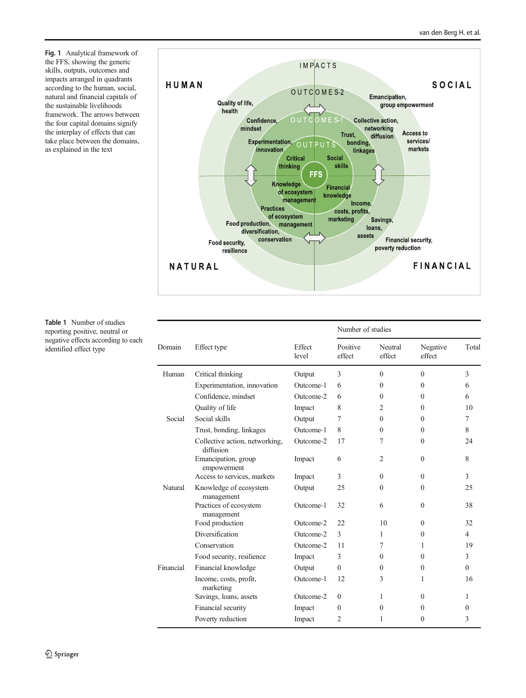<span id="page-3-0"></span>Fig. 1 Analytical framework of the FFS, showing the generic skills, outputs, outcomes and impacts arranged in quadrants according to the human, social, natural and financial capitals of the sustainable livelihoods framework. The arrows between the four capital domains signify the interplay of effects that can take place between the domains, as explained in the text



Table 1 Number of studies reporting positive, neutral or negative effects according to each identified effect type

|           |                                             |                 | Number of studies  |                   |                    |                |  |
|-----------|---------------------------------------------|-----------------|--------------------|-------------------|--------------------|----------------|--|
| Domain    | Effect type                                 | Effect<br>level | Positive<br>effect | Neutral<br>effect | Negative<br>effect | Total          |  |
| Human     | Critical thinking                           | Output          | 3                  | $\Omega$          | $\theta$           | 3              |  |
|           | Experimentation, innovation                 | Outcome-1       | 6                  | $\Omega$          | $\Omega$           | 6              |  |
|           | Confidence, mindset                         | Outcome-2       | 6                  | 0                 | 0                  | 6              |  |
|           | Quality of life                             | Impact          | 8                  | $\overline{c}$    | 0                  | 10             |  |
| Social    | Social skills                               | Output          | 7                  | $\Omega$          | $\Omega$           | 7              |  |
|           | Trust, bonding, linkages                    | Outcome-1       | 8                  | $\Omega$          | $\Omega$           | 8              |  |
|           | Collective action, networking,<br>diffusion | Outcome-2       | 17                 | 7                 | $\Omega$           | 24             |  |
|           | Emancipation, group<br>empowerment          | Impact          | 6                  | 2                 | $\theta$           | 8              |  |
|           | Access to services, markets                 | Impact          | 3                  | $\theta$          | $\Omega$           | 3              |  |
| Natural   | Knowledge of ecosystem<br>management        | Output          | 25                 | $\Omega$          | $\Omega$           | 25             |  |
|           | Practices of ecosystem<br>management        | Outcome-1       | 32                 | 6                 | $\Omega$           | 38             |  |
|           | Food production                             | Outcome-2       | 22                 | 10                | $\Omega$           | 32             |  |
|           | Diversification                             | Outcome-2       | 3                  | 1                 | $\theta$           | $\overline{4}$ |  |
|           | Conservation                                | Outcome-2       | 11                 | 7                 | 1                  | 19             |  |
|           | Food security, resilience                   | Impact          | 3                  | $\Omega$          | $\Omega$           | 3              |  |
| Financial | Financial knowledge                         | Output          | $\Omega$           | $\Omega$          | $\Omega$           | $\Omega$       |  |
|           | Income, costs, profit,<br>marketing         | Outcome-1       | 12                 | 3                 | 1                  | 16             |  |
|           | Savings, loans, assets                      | Outcome-2       | $\theta$           | 1                 | $\theta$           | 1              |  |
|           | Financial security                          | Impact          | $\theta$           | $\Omega$          | 0                  | $\Omega$       |  |
|           | Poverty reduction                           | Impact          | $\overline{2}$     | 1                 | $\Omega$           | 3              |  |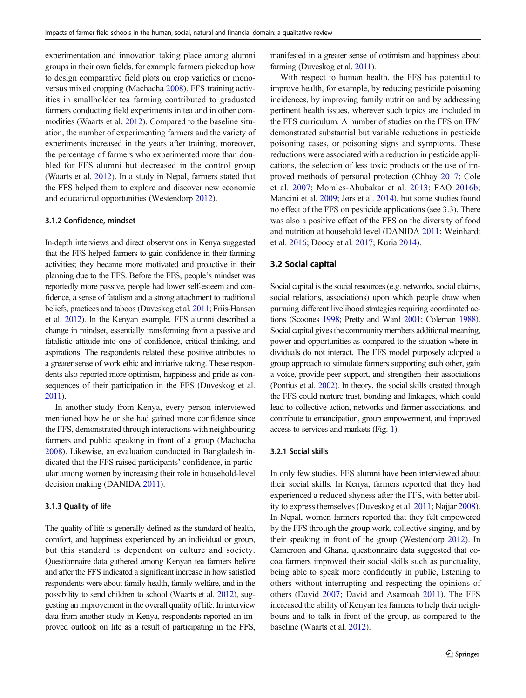experimentation and innovation taking place among alumni groups in their own fields, for example farmers picked up how to design comparative field plots on crop varieties or mono-versus mixed cropping (Machacha [2008\)](#page-14-0). FFS training activities in smallholder tea farming contributed to graduated farmers conducting field experiments in tea and in other commodities (Waarts et al. [2012](#page-15-0)). Compared to the baseline situation, the number of experimenting farmers and the variety of experiments increased in the years after training; moreover, the percentage of farmers who experimented more than doubled for FFS alumni but decreased in the control group (Waarts et al. [2012](#page-15-0)). In a study in Nepal, farmers stated that the FFS helped them to explore and discover new economic and educational opportunities (Westendorp [2012\)](#page-15-0).

## 3.1.2 Confidence, mindset

In-depth interviews and direct observations in Kenya suggested that the FFS helped farmers to gain confidence in their farming activities; they became more motivated and proactive in their planning due to the FFS. Before the FFS, people's mindset was reportedly more passive, people had lower self-esteem and confidence, a sense of fatalism and a strong attachment to traditional beliefs, practices and taboos (Duveskog et al. [2011;](#page-14-0) Friis-Hansen et al. [2012](#page-14-0)). In the Kenyan example, FFS alumni described a change in mindset, essentially transforming from a passive and fatalistic attitude into one of confidence, critical thinking, and aspirations. The respondents related these positive attributes to a greater sense of work ethic and initiative taking. These respondents also reported more optimism, happiness and pride as consequences of their participation in the FFS (Duveskog et al. [2011\)](#page-14-0).

In another study from Kenya, every person interviewed mentioned how he or she had gained more confidence since the FFS, demonstrated through interactions with neighbouring farmers and public speaking in front of a group (Machacha [2008\)](#page-14-0). Likewise, an evaluation conducted in Bangladesh indicated that the FFS raised participants' confidence, in particular among women by increasing their role in household-level decision making (DANIDA [2011\)](#page-13-0).

#### 3.1.3 Quality of life

The quality of life is generally defined as the standard of health, comfort, and happiness experienced by an individual or group, but this standard is dependent on culture and society. Questionnaire data gathered among Kenyan tea farmers before and after the FFS indicated a significant increase in how satisfied respondents were about family health, family welfare, and in the possibility to send children to school (Waarts et al. [2012\)](#page-15-0), suggesting an improvement in the overall quality of life. In interview data from another study in Kenya, respondents reported an improved outlook on life as a result of participating in the FFS, manifested in a greater sense of optimism and happiness about farming (Duveskog et al. [2011\)](#page-14-0).

With respect to human health, the FFS has potential to improve health, for example, by reducing pesticide poisoning incidences, by improving family nutrition and by addressing pertinent health issues, wherever such topics are included in the FFS curriculum. A number of studies on the FFS on IPM demonstrated substantial but variable reductions in pesticide poisoning cases, or poisoning signs and symptoms. These reductions were associated with a reduction in pesticide applications, the selection of less toxic products or the use of improved methods of personal protection (Chhay [2017](#page-13-0); Cole et al. [2007;](#page-13-0) Morales-Abubakar et al. [2013;](#page-14-0) FAO [2016b;](#page-14-0) Mancini et al. [2009;](#page-14-0) Jørs et al. [2014\)](#page-14-0), but some studies found no effect of the FFS on pesticide applications (see 3.3). There was also a positive effect of the FFS on the diversity of food and nutrition at household level (DANIDA [2011;](#page-13-0) Weinhardt et al. [2016](#page-15-0); Doocy et al. [2017](#page-13-0); Kuria [2014\)](#page-14-0).

# 3.2 Social capital

Social capital is the social resources (e.g. networks, social claims, social relations, associations) upon which people draw when pursuing different livelihood strategies requiring coordinated actions (Scoones [1998](#page-15-0); Pretty and Ward [2001](#page-15-0); Coleman [1988\)](#page-13-0). Social capital gives the community members additional meaning, power and opportunities as compared to the situation where individuals do not interact. The FFS model purposely adopted a group approach to stimulate farmers supporting each other, gain a voice, provide peer support, and strengthen their associations (Pontius et al. [2002](#page-15-0)). In theory, the social skills created through the FFS could nurture trust, bonding and linkages, which could lead to collective action, networks and farmer associations, and contribute to emancipation, group empowerment, and improved access to services and markets (Fig. [1\)](#page-3-0).

#### 3.2.1 Social skills

In only few studies, FFS alumni have been interviewed about their social skills. In Kenya, farmers reported that they had experienced a reduced shyness after the FFS, with better ability to express themselves (Duveskog et al. [2011](#page-14-0); Najjar [2008\)](#page-14-0). In Nepal, women farmers reported that they felt empowered by the FFS through the group work, collective singing, and by their speaking in front of the group (Westendorp [2012\)](#page-15-0). In Cameroon and Ghana, questionnaire data suggested that cocoa farmers improved their social skills such as punctuality, being able to speak more confidently in public, listening to others without interrupting and respecting the opinions of others (David [2007](#page-13-0); David and Asamoah [2011](#page-13-0)). The FFS increased the ability of Kenyan tea farmers to help their neighbours and to talk in front of the group, as compared to the baseline (Waarts et al. [2012\)](#page-15-0).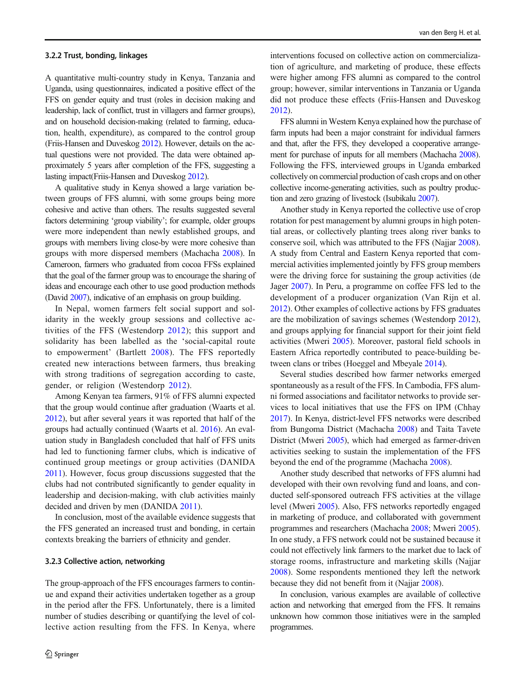#### 3.2.2 Trust, bonding, linkages

A quantitative multi-country study in Kenya, Tanzania and Uganda, using questionnaires, indicated a positive effect of the FFS on gender equity and trust (roles in decision making and leadership, lack of conflict, trust in villagers and farmer groups), and on household decision-making (related to farming, education, health, expenditure), as compared to the control group (Friis-Hansen and Duveskog [2012](#page-14-0)). However, details on the actual questions were not provided. The data were obtained approximately 5 years after completion of the FFS, suggesting a lasting impact(Friis-Hansen and Duveskog [2012](#page-14-0)).

A qualitative study in Kenya showed a large variation between groups of FFS alumni, with some groups being more cohesive and active than others. The results suggested several factors determining 'group viability'; for example, older groups were more independent than newly established groups, and groups with members living close-by were more cohesive than groups with more dispersed members (Machacha [2008\)](#page-14-0). In Cameroon, farmers who graduated from cocoa FFSs explained that the goal of the farmer group was to encourage the sharing of ideas and encourage each other to use good production methods (David [2007](#page-13-0)), indicative of an emphasis on group building.

In Nepal, women farmers felt social support and solidarity in the weekly group sessions and collective activities of the FFS (Westendorp [2012](#page-15-0)); this support and solidarity has been labelled as the 'social-capital route to empowerment' (Bartlett [2008\)](#page-13-0). The FFS reportedly created new interactions between farmers, thus breaking with strong traditions of segregation according to caste, gender, or religion (Westendorp [2012](#page-15-0)).

Among Kenyan tea farmers, 91% of FFS alumni expected that the group would continue after graduation (Waarts et al. [2012\)](#page-15-0), but after several years it was reported that half of the groups had actually continued (Waarts et al. [2016\)](#page-15-0). An evaluation study in Bangladesh concluded that half of FFS units had led to functioning farmer clubs, which is indicative of continued group meetings or group activities (DANIDA [2011\)](#page-13-0). However, focus group discussions suggested that the clubs had not contributed significantly to gender equality in leadership and decision-making, with club activities mainly decided and driven by men (DANIDA [2011\)](#page-13-0).

In conclusion, most of the available evidence suggests that the FFS generated an increased trust and bonding, in certain contexts breaking the barriers of ethnicity and gender.

#### 3.2.3 Collective action, networking

The group-approach of the FFS encourages farmers to continue and expand their activities undertaken together as a group in the period after the FFS. Unfortunately, there is a limited number of studies describing or quantifying the level of collective action resulting from the FFS. In Kenya, where

interventions focused on collective action on commercialization of agriculture, and marketing of produce, these effects were higher among FFS alumni as compared to the control group; however, similar interventions in Tanzania or Uganda did not produce these effects (Friis-Hansen and Duveskog [2012\)](#page-14-0).

FFS alumni in Western Kenya explained how the purchase of farm inputs had been a major constraint for individual farmers and that, after the FFS, they developed a cooperative arrangement for purchase of inputs for all members (Machacha [2008\)](#page-14-0). Following the FFS, interviewed groups in Uganda embarked collectively on commercial production of cash crops and on other collective income-generating activities, such as poultry production and zero grazing of livestock (Isubikalu [2007](#page-14-0)).

Another study in Kenya reported the collective use of crop rotation for pest management by alumni groups in high potential areas, or collectively planting trees along river banks to conserve soil, which was attributed to the FFS (Najjar [2008\)](#page-14-0). A study from Central and Eastern Kenya reported that commercial activities implemented jointly by FFS group members were the driving force for sustaining the group activities (de Jager [2007](#page-13-0)). In Peru, a programme on coffee FFS led to the development of a producer organization (Van Rijn et al. [2012\)](#page-15-0). Other examples of collective actions by FFS graduates are the mobilization of savings schemes (Westendorp [2012\)](#page-15-0), and groups applying for financial support for their joint field activities (Mweri [2005](#page-14-0)). Moreover, pastoral field schools in Eastern Africa reportedly contributed to peace-building between clans or tribes (Hoeggel and Mbeyale [2014\)](#page-14-0).

Several studies described how farmer networks emerged spontaneously as a result of the FFS. In Cambodia, FFS alumni formed associations and facilitator networks to provide services to local initiatives that use the FFS on IPM (Chhay [2017\)](#page-13-0). In Kenya, district-level FFS networks were described from Bungoma District (Machacha [2008\)](#page-14-0) and Taita Tavete District (Mweri [2005\)](#page-14-0), which had emerged as farmer-driven activities seeking to sustain the implementation of the FFS beyond the end of the programme (Machacha [2008](#page-14-0)).

Another study described that networks of FFS alumni had developed with their own revolving fund and loans, and conducted self-sponsored outreach FFS activities at the village level (Mweri [2005](#page-14-0)). Also, FFS networks reportedly engaged in marketing of produce, and collaborated with government programmes and researchers (Machacha [2008](#page-14-0); Mweri [2005\)](#page-14-0). In one study, a FFS network could not be sustained because it could not effectively link farmers to the market due to lack of storage rooms, infrastructure and marketing skills (Najjar [2008](#page-14-0)). Some respondents mentioned they left the network because they did not benefit from it (Najjar [2008\)](#page-14-0).

In conclusion, various examples are available of collective action and networking that emerged from the FFS. It remains unknown how common those initiatives were in the sampled programmes.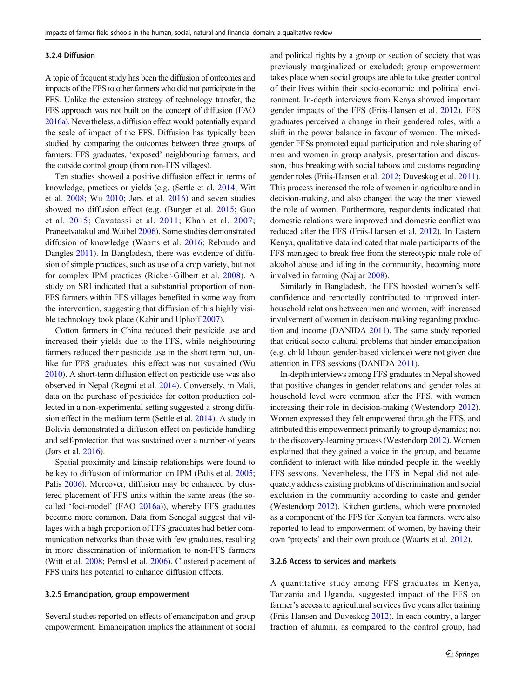#### 3.2.4 Diffusion

A topic of frequent study has been the diffusion of outcomes and impacts of the FFS to other farmers who did not participate in the FFS. Unlike the extension strategy of technology transfer, the FFS approach was not built on the concept of diffusion (FAO [2016a\)](#page-14-0). Nevertheless, a diffusion effect would potentially expand the scale of impact of the FFS. Diffusion has typically been studied by comparing the outcomes between three groups of farmers: FFS graduates, 'exposed' neighbouring farmers, and the outside control group (from non-FFS villages).

Ten studies showed a positive diffusion effect in terms of knowledge, practices or yields (e.g. (Settle et al. [2014;](#page-15-0) Witt et al. [2008](#page-16-0); Wu [2010;](#page-16-0) Jørs et al. [2016](#page-14-0)) and seven studies showed no diffusion effect (e.g. (Burger et al. [2015](#page-13-0); Guo et al. [2015](#page-14-0); Cavatassi et al. [2011;](#page-13-0) Khan et al. [2007](#page-14-0); Praneetvatakul and Waibel [2006](#page-15-0)). Some studies demonstrated diffusion of knowledge (Waarts et al. [2016](#page-15-0); Rebaudo and Dangles [2011\)](#page-15-0). In Bangladesh, there was evidence of diffusion of simple practices, such as use of a crop variety, but not for complex IPM practices (Ricker-Gilbert et al. [2008](#page-15-0)). A study on SRI indicated that a substantial proportion of non-FFS farmers within FFS villages benefited in some way from the intervention, suggesting that diffusion of this highly visible technology took place (Kabir and Uphoff [2007\)](#page-14-0).

Cotton farmers in China reduced their pesticide use and increased their yields due to the FFS, while neighbouring farmers reduced their pesticide use in the short term but, unlike for FFS graduates, this effect was not sustained (Wu [2010\)](#page-16-0). A short-term diffusion effect on pesticide use was also observed in Nepal (Regmi et al. [2014\)](#page-15-0). Conversely, in Mali, data on the purchase of pesticides for cotton production collected in a non-experimental setting suggested a strong diffusion effect in the medium term (Settle et al. [2014](#page-15-0)). A study in Bolivia demonstrated a diffusion effect on pesticide handling and self-protection that was sustained over a number of years (Jørs et al. [2016](#page-14-0)).

Spatial proximity and kinship relationships were found to be key to diffusion of information on IPM (Palis et al. [2005](#page-14-0); Palis [2006\)](#page-14-0). Moreover, diffusion may be enhanced by clustered placement of FFS units within the same areas (the socalled 'foci-model' (FAO [2016a\)](#page-14-0)), whereby FFS graduates become more common. Data from Senegal suggest that villages with a high proportion of FFS graduates had better communication networks than those with few graduates, resulting in more dissemination of information to non-FFS farmers (Witt et al. [2008;](#page-16-0) Pemsl et al. [2006\)](#page-15-0). Clustered placement of FFS units has potential to enhance diffusion effects.

## 3.2.5 Emancipation, group empowerment

Several studies reported on effects of emancipation and group empowerment. Emancipation implies the attainment of social and political rights by a group or section of society that was previously marginalized or excluded; group empowerment takes place when social groups are able to take greater control of their lives within their socio-economic and political environment. In-depth interviews from Kenya showed important gender impacts of the FFS (Friis-Hansen et al. [2012\)](#page-14-0). FFS graduates perceived a change in their gendered roles, with a shift in the power balance in favour of women. The mixedgender FFSs promoted equal participation and role sharing of men and women in group analysis, presentation and discussion, thus breaking with social taboos and customs regarding gender roles (Friis-Hansen et al. [2012](#page-14-0); Duveskog et al. [2011\)](#page-14-0). This process increased the role of women in agriculture and in decision-making, and also changed the way the men viewed the role of women. Furthermore, respondents indicated that domestic relations were improved and domestic conflict was reduced after the FFS (Friis-Hansen et al. [2012\)](#page-14-0). In Eastern Kenya, qualitative data indicated that male participants of the FFS managed to break free from the stereotypic male role of alcohol abuse and idling in the community, becoming more involved in farming (Najjar [2008](#page-14-0)).

Similarly in Bangladesh, the FFS boosted women's selfconfidence and reportedly contributed to improved interhousehold relations between men and women, with increased involvement of women in decision-making regarding production and income (DANIDA [2011\)](#page-13-0). The same study reported that critical socio-cultural problems that hinder emancipation (e.g. child labour, gender-based violence) were not given due attention in FFS sessions (DANIDA [2011\)](#page-13-0).

In-depth interviews among FFS graduates in Nepal showed that positive changes in gender relations and gender roles at household level were common after the FFS, with women increasing their role in decision-making (Westendorp [2012\)](#page-15-0). Women expressed they felt empowered through the FFS, and attributed this empowerment primarily to group dynamics; not to the discovery-learning process (Westendorp [2012\)](#page-15-0). Women explained that they gained a voice in the group, and became confident to interact with like-minded people in the weekly FFS sessions. Nevertheless, the FFS in Nepal did not adequately address existing problems of discrimination and social exclusion in the community according to caste and gender (Westendorp [2012](#page-15-0)). Kitchen gardens, which were promoted as a component of the FFS for Kenyan tea farmers, were also reported to lead to empowerment of women, by having their own 'projects' and their own produce (Waarts et al. [2012\)](#page-15-0).

## 3.2.6 Access to services and markets

A quantitative study among FFS graduates in Kenya, Tanzania and Uganda, suggested impact of the FFS on farmer's access to agricultural services five years after training (Friis-Hansen and Duveskog [2012\)](#page-14-0). In each country, a larger fraction of alumni, as compared to the control group, had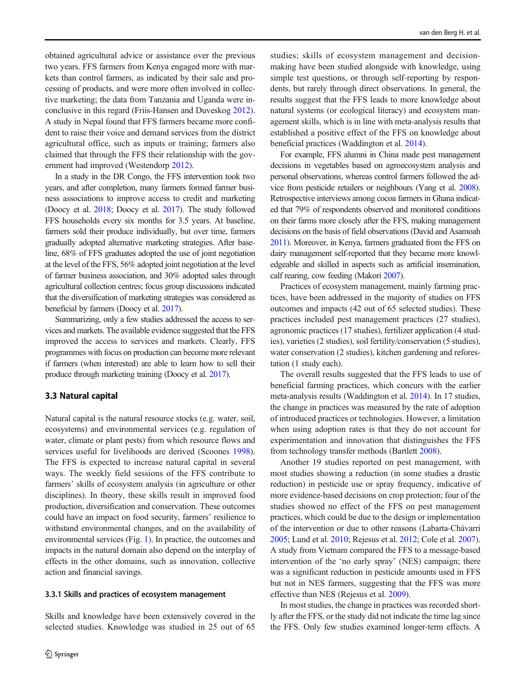obtained agricultural advice or assistance over the previous two years. FFS farmers from Kenya engaged more with markets than control farmers, as indicated by their sale and processing of products, and were more often involved in collective marketing; the data from Tanzania and Uganda were inconclusive in this regard (Friis-Hansen and Duveskog [2012\)](#page-14-0). A study in Nepal found that FFS farmers became more confident to raise their voice and demand services from the district agricultural office, such as inputs or training; farmers also claimed that through the FFS their relationship with the government had improved (Westendorp [2012](#page-15-0)).

In a study in the DR Congo, the FFS intervention took two years, and after completion, many farmers formed farmer business associations to improve access to credit and marketing (Doocy et al. [2018;](#page-13-0) Doocy et al. [2017](#page-13-0)). The study followed FFS households every six months for 3.5 years. At baseline, farmers sold their produce individually, but over time, farmers gradually adopted alternative marketing strategies. After baseline, 68% of FFS graduates adopted the use of joint negotiation at the level of the FFS, 56% adopted joint negotiation at the level of farmer business association, and 30% adopted sales through agricultural collection centres; focus group discussions indicated that the diversification of marketing strategies was considered as beneficial by farmers (Doocy et al. [2017](#page-13-0)).

Summarizing, only a few studies addressed the access to services and markets. The available evidence suggested that the FFS improved the access to services and markets. Clearly, FFS programmes with focus on production can become more relevant if farmers (when interested) are able to learn how to sell their produce through marketing training (Doocy et al. [2017\)](#page-13-0).

# 3.3 Natural capital

Natural capital is the natural resource stocks (e.g. water, soil, ecosystems) and environmental services (e.g. regulation of water, climate or plant pests) from which resource flows and services useful for livelihoods are derived (Scoones [1998](#page-15-0)). The FFS is expected to increase natural capital in several ways. The weekly field sessions of the FFS contribute to farmers' skills of ecosystem analysis (in agriculture or other disciplines). In theory, these skills result in improved food production, diversification and conservation. These outcomes could have an impact on food security, farmers' resilience to withstand environmental changes, and on the availability of environmental services (Fig. [1](#page-3-0)). In practice, the outcomes and impacts in the natural domain also depend on the interplay of effects in the other domains, such as innovation, collective action and financial savings.

# 3.3.1 Skills and practices of ecosystem management

Skills and knowledge have been extensively covered in the selected studies. Knowledge was studied in 25 out of 65

studies; skills of ecosystem management and decisionmaking have been studied alongside with knowledge, using simple test questions, or through self-reporting by respondents, but rarely through direct observations. In general, the results suggest that the FFS leads to more knowledge about natural systems (or ecological literacy) and ecosystem management skills, which is in line with meta-analysis results that established a positive effect of the FFS on knowledge about beneficial practices (Waddington et al. [2014](#page-15-0)).

For example, FFS alumni in China made pest management decisions in vegetables based on agroecosystem analysis and personal observations, whereas control farmers followed the advice from pesticide retailers or neighbours (Yang et al. [2008\)](#page-16-0). Retrospective interviews among cocoa farmers in Ghana indicated that 79% of respondents observed and monitored conditions on their farms more closely after the FFS, making management decisions on the basis of field observations (David and Asamoah [2011\)](#page-13-0). Moreover, in Kenya, farmers graduated from the FFS on dairy management self-reported that they became more knowledgeable and skilled in aspects such as artificial insemination, calf rearing, cow feeding (Makori [2007](#page-14-0)).

Practices of ecosystem management, mainly farming practices, have been addressed in the majority of studies on FFS outcomes and impacts (42 out of 65 selected studies). These practices included pest management practices (27 studies), agronomic practices (17 studies), fertilizer application (4 studies), varieties (2 studies), soil fertility/conservation (5 studies), water conservation (2 studies), kitchen gardening and reforestation (1 study each).

The overall results suggested that the FFS leads to use of beneficial farming practices, which concurs with the earlier meta-analysis results (Waddington et al. [2014\)](#page-15-0). In 17 studies, the change in practices was measured by the rate of adoption of introduced practices or technologies. However, a limitation when using adoption rates is that they do not account for experimentation and innovation that distinguishes the FFS from technology transfer methods (Bartlett [2008\)](#page-13-0).

Another 19 studies reported on pest management, with most studies showing a reduction (in some studies a drastic reduction) in pesticide use or spray frequency, indicative of more evidence-based decisions on crop protection; four of the studies showed no effect of the FFS on pest management practices, which could be due to the design or implementation of the intervention or due to other reasons (Labarta-Chávarri [2005;](#page-14-0) Lund et al. [2010](#page-14-0); Rejesus et al. [2012](#page-15-0); Cole et al. [2007\)](#page-13-0). A study from Vietnam compared the FFS to a message-based intervention of the 'no early spray' (NES) campaign; there was a significant reduction in pesticide amounts used in FFS but not in NES farmers, suggesting that the FFS was more effective than NES (Rejesus et al. [2009\)](#page-15-0).

In most studies, the change in practices was recorded shortly after the FFS, or the study did not indicate the time lag since the FFS. Only few studies examined longer-term effects. A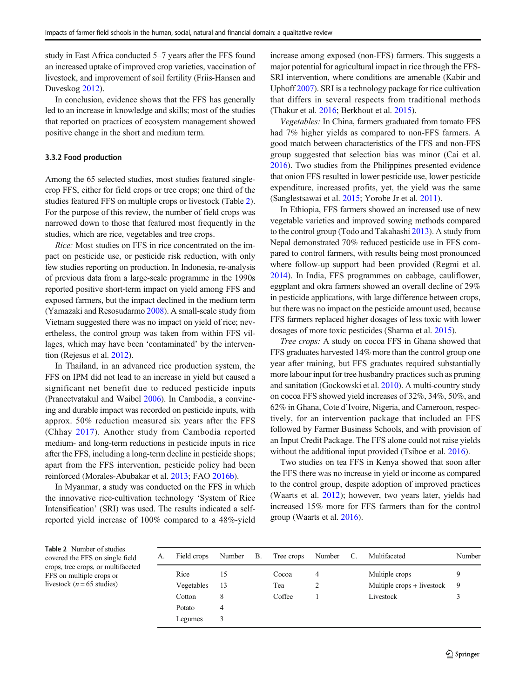<span id="page-8-0"></span>study in East Africa conducted 5–7 years after the FFS found an increased uptake of improved crop varieties, vaccination of livestock, and improvement of soil fertility (Friis-Hansen and Duveskog [2012\)](#page-14-0).

In conclusion, evidence shows that the FFS has generally led to an increase in knowledge and skills; most of the studies that reported on practices of ecosystem management showed positive change in the short and medium term.

# 3.3.2 Food production

Among the 65 selected studies, most studies featured singlecrop FFS, either for field crops or tree crops; one third of the studies featured FFS on multiple crops or livestock (Table 2). For the purpose of this review, the number of field crops was narrowed down to those that featured most frequently in the studies, which are rice, vegetables and tree crops.

Rice: Most studies on FFS in rice concentrated on the impact on pesticide use, or pesticide risk reduction, with only few studies reporting on production. In Indonesia, re-analysis of previous data from a large-scale programme in the 1990s reported positive short-term impact on yield among FFS and exposed farmers, but the impact declined in the medium term (Yamazaki and Resosudarmo [2008\)](#page-16-0). A small-scale study from Vietnam suggested there was no impact on yield of rice; nevertheless, the control group was taken from within FFS villages, which may have been 'contaminated' by the intervention (Rejesus et al. [2012\)](#page-15-0).

In Thailand, in an advanced rice production system, the FFS on IPM did not lead to an increase in yield but caused a significant net benefit due to reduced pesticide inputs (Praneetvatakul and Waibel [2006](#page-15-0)). In Cambodia, a convincing and durable impact was recorded on pesticide inputs, with approx. 50% reduction measured six years after the FFS (Chhay [2017](#page-13-0)). Another study from Cambodia reported medium- and long-term reductions in pesticide inputs in rice after the FFS, including a long-term decline in pesticide shops; apart from the FFS intervention, pesticide policy had been reinforced (Morales-Abubakar et al. [2013](#page-14-0); FAO [2016b](#page-14-0)).

In Myanmar, a study was conducted on the FFS in which the innovative rice-cultivation technology 'System of Rice Intensification' (SRI) was used. The results indicated a selfreported yield increase of 100% compared to a 48%-yield increase among exposed (non-FFS) farmers. This suggests a major potential for agricultural impact in rice through the FFS-SRI intervention, where conditions are amenable (Kabir and Uphoff [2007\)](#page-14-0). SRI is a technology package for rice cultivation that differs in several respects from traditional methods (Thakur et al. [2016](#page-15-0); Berkhout et al. [2015](#page-13-0)).

Vegetables: In China, farmers graduated from tomato FFS had 7% higher yields as compared to non-FFS farmers. A good match between characteristics of the FFS and non-FFS group suggested that selection bias was minor (Cai et al. [2016\)](#page-13-0). Two studies from the Philippines presented evidence that onion FFS resulted in lower pesticide use, lower pesticide expenditure, increased profits, yet, the yield was the same (Sanglestsawai et al. [2015;](#page-15-0) Yorobe Jr et al. [2011](#page-16-0)).

In Ethiopia, FFS farmers showed an increased use of new vegetable varieties and improved sowing methods compared to the control group (Todo and Takahashi [2013\)](#page-15-0). A study from Nepal demonstrated 70% reduced pesticide use in FFS compared to control farmers, with results being most pronounced where follow-up support had been provided (Regmi et al. [2014\)](#page-15-0). In India, FFS programmes on cabbage, cauliflower, eggplant and okra farmers showed an overall decline of 29% in pesticide applications, with large difference between crops, but there was no impact on the pesticide amount used, because FFS farmers replaced higher dosages of less toxic with lower dosages of more toxic pesticides (Sharma et al. [2015\)](#page-15-0).

Tree crops: A study on cocoa FFS in Ghana showed that FFS graduates harvested 14% more than the control group one year after training, but FFS graduates required substantially more labour input for tree husbandry practices such as pruning and sanitation (Gockowski et al. [2010](#page-14-0)). A multi-country study on cocoa FFS showed yield increases of 32%, 34%, 50%, and 62% in Ghana, Cote d'Ivoire, Nigeria, and Cameroon, respectively, for an intervention package that included an FFS followed by Farmer Business Schools, and with provision of an Input Credit Package. The FFS alone could not raise yields without the additional input provided (Tsiboe et al. [2016](#page-15-0)).

Two studies on tea FFS in Kenya showed that soon after the FFS there was no increase in yield or income as compared to the control group, despite adoption of improved practices (Waarts et al. [2012](#page-15-0)); however, two years later, yields had increased 15% more for FFS farmers than for the control group (Waarts et al. [2016\)](#page-15-0).

Table 2 Number of studies covered the FFS on single field crops, tree crops, or multifaceted FFS on multiple crops or livestock ( $n = 65$  studies)

| А. | Field crops | Number B. | Tree crops | Number         | C. | Multifaceted               | Number |
|----|-------------|-----------|------------|----------------|----|----------------------------|--------|
|    | Rice        | 15        | Cocoa      | $\overline{4}$ |    | Multiple crops             |        |
|    | Vegetables  | 13        | Tea        | 2              |    | Multiple crops + livestock | 9      |
|    | Cotton      | 8         | Coffee     |                |    | Livestock                  |        |
|    | Potato      | 4         |            |                |    |                            |        |
|    | Legumes     | 3         |            |                |    |                            |        |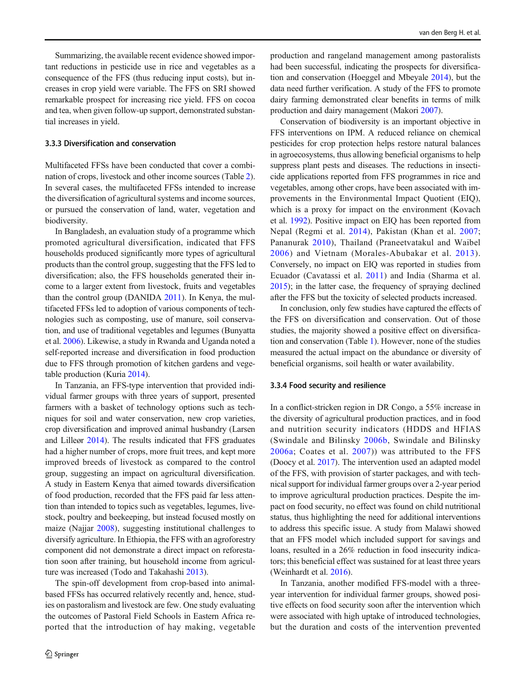Summarizing, the available recent evidence showed important reductions in pesticide use in rice and vegetables as a consequence of the FFS (thus reducing input costs), but increases in crop yield were variable. The FFS on SRI showed remarkable prospect for increasing rice yield. FFS on cocoa and tea, when given follow-up support, demonstrated substantial increases in yield.

## 3.3.3 Diversification and conservation

Multifaceted FFSs have been conducted that cover a combination of crops, livestock and other income sources (Table [2\)](#page-8-0). In several cases, the multifaceted FFSs intended to increase the diversification of agricultural systems and income sources, or pursued the conservation of land, water, vegetation and biodiversity.

In Bangladesh, an evaluation study of a programme which promoted agricultural diversification, indicated that FFS households produced significantly more types of agricultural products than the control group, suggesting that the FFS led to diversification; also, the FFS households generated their income to a larger extent from livestock, fruits and vegetables than the control group (DANIDA [2011\)](#page-13-0). In Kenya, the multifaceted FFSs led to adoption of various components of technologies such as composting, use of manure, soil conservation, and use of traditional vegetables and legumes (Bunyatta et al. [2006](#page-13-0)). Likewise, a study in Rwanda and Uganda noted a self-reported increase and diversification in food production due to FFS through promotion of kitchen gardens and vegetable production (Kuria [2014](#page-14-0)).

In Tanzania, an FFS-type intervention that provided individual farmer groups with three years of support, presented farmers with a basket of technology options such as techniques for soil and water conservation, new crop varieties, crop diversification and improved animal husbandry (Larsen and Lilleør [2014](#page-14-0)). The results indicated that FFS graduates had a higher number of crops, more fruit trees, and kept more improved breeds of livestock as compared to the control group, suggesting an impact on agricultural diversification. A study in Eastern Kenya that aimed towards diversification of food production, recorded that the FFS paid far less attention than intended to topics such as vegetables, legumes, livestock, poultry and beekeeping, but instead focused mostly on maize (Najjar [2008\)](#page-14-0), suggesting institutional challenges to diversify agriculture. In Ethiopia, the FFS with an agroforestry component did not demonstrate a direct impact on reforestation soon after training, but household income from agriculture was increased (Todo and Takahashi [2013\)](#page-15-0).

The spin-off development from crop-based into animalbased FFSs has occurred relatively recently and, hence, studies on pastoralism and livestock are few. One study evaluating the outcomes of Pastoral Field Schools in Eastern Africa reported that the introduction of hay making, vegetable production and rangeland management among pastoralists had been successful, indicating the prospects for diversification and conservation (Hoeggel and Mbeyale [2014\)](#page-14-0), but the data need further verification. A study of the FFS to promote dairy farming demonstrated clear benefits in terms of milk production and dairy management (Makori [2007](#page-14-0)).

Conservation of biodiversity is an important objective in FFS interventions on IPM. A reduced reliance on chemical pesticides for crop protection helps restore natural balances in agroecosystems, thus allowing beneficial organisms to help suppress plant pests and diseases. The reductions in insecticide applications reported from FFS programmes in rice and vegetables, among other crops, have been associated with improvements in the Environmental Impact Quotient (EIQ), which is a proxy for impact on the environment (Kovach et al. [1992](#page-14-0)). Positive impact on EIQ has been reported from Nepal (Regmi et al. [2014](#page-15-0)), Pakistan (Khan et al. [2007;](#page-14-0) Pananurak [2010\)](#page-15-0), Thailand (Praneetvatakul and Waibel [2006](#page-15-0)) and Vietnam (Morales-Abubakar et al. [2013](#page-14-0)). Conversely, no impact on EIQ was reported in studies from Ecuador (Cavatassi et al. [2011\)](#page-13-0) and India (Sharma et al. [2015\)](#page-15-0); in the latter case, the frequency of spraying declined after the FFS but the toxicity of selected products increased.

In conclusion, only few studies have captured the effects of the FFS on diversification and conservation. Out of those studies, the majority showed a positive effect on diversification and conservation (Table [1\)](#page-3-0). However, none of the studies measured the actual impact on the abundance or diversity of beneficial organisms, soil health or water availability.

# 3.3.4 Food security and resilience

In a conflict-stricken region in DR Congo, a 55% increase in the diversity of agricultural production practices, and in food and nutrition security indicators (HDDS and HFIAS (Swindale and Bilinsky [2006b,](#page-15-0) Swindale and Bilinsky [2006a](#page-15-0); Coates et al. [2007](#page-13-0))) was attributed to the FFS (Doocy et al. [2017](#page-13-0)). The intervention used an adapted model of the FFS, with provision of starter packages, and with technical support for individual farmer groups over a 2-year period to improve agricultural production practices. Despite the impact on food security, no effect was found on child nutritional status, thus highlighting the need for additional interventions to address this specific issue. A study from Malawi showed that an FFS model which included support for savings and loans, resulted in a 26% reduction in food insecurity indicators; this beneficial effect was sustained for at least three years (Weinhardt et al. [2016\)](#page-15-0).

In Tanzania, another modified FFS-model with a threeyear intervention for individual farmer groups, showed positive effects on food security soon after the intervention which were associated with high uptake of introduced technologies, but the duration and costs of the intervention prevented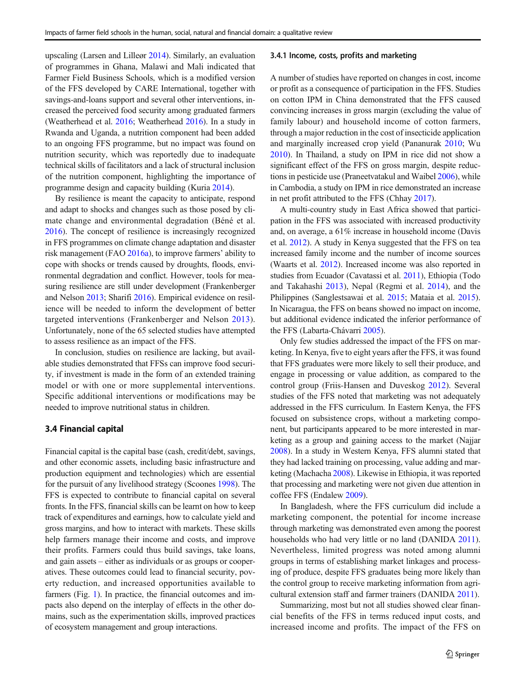upscaling (Larsen and Lilleør [2014\)](#page-14-0). Similarly, an evaluation of programmes in Ghana, Malawi and Mali indicated that Farmer Field Business Schools, which is a modified version of the FFS developed by CARE International, together with savings-and-loans support and several other interventions, increased the perceived food security among graduated farmers (Weatherhead et al. [2016](#page-15-0); Weatherhead [2016\)](#page-15-0). In a study in Rwanda and Uganda, a nutrition component had been added to an ongoing FFS programme, but no impact was found on nutrition security, which was reportedly due to inadequate technical skills of facilitators and a lack of structural inclusion of the nutrition component, highlighting the importance of programme design and capacity building (Kuria [2014](#page-14-0)).

By resilience is meant the capacity to anticipate, respond and adapt to shocks and changes such as those posed by climate change and environmental degradation (Béné et al. [2016\)](#page-13-0). The concept of resilience is increasingly recognized in FFS programmes on climate change adaptation and disaster risk management (FAO [2016a](#page-14-0)), to improve farmers' ability to cope with shocks or trends caused by droughts, floods, environmental degradation and conflict. However, tools for measuring resilience are still under development (Frankenberger and Nelson [2013;](#page-14-0) Sharifi [2016](#page-15-0)). Empirical evidence on resilience will be needed to inform the development of better targeted interventions (Frankenberger and Nelson [2013](#page-14-0)). Unfortunately, none of the 65 selected studies have attempted to assess resilience as an impact of the FFS.

In conclusion, studies on resilience are lacking, but available studies demonstrated that FFSs can improve food security, if investment is made in the form of an extended training model or with one or more supplemental interventions. Specific additional interventions or modifications may be needed to improve nutritional status in children.

# 3.4 Financial capital

Financial capital is the capital base (cash, credit/debt, savings, and other economic assets, including basic infrastructure and production equipment and technologies) which are essential for the pursuit of any livelihood strategy (Scoones [1998](#page-15-0)). The FFS is expected to contribute to financial capital on several fronts. In the FFS, financial skills can be learnt on how to keep track of expenditures and earnings, how to calculate yield and gross margins, and how to interact with markets. These skills help farmers manage their income and costs, and improve their profits. Farmers could thus build savings, take loans, and gain assets – either as individuals or as groups or cooperatives. These outcomes could lead to financial security, poverty reduction, and increased opportunities available to farmers (Fig. [1](#page-3-0)). In practice, the financial outcomes and impacts also depend on the interplay of effects in the other domains, such as the experimentation skills, improved practices of ecosystem management and group interactions.

#### 3.4.1 Income, costs, profits and marketing

A number of studies have reported on changes in cost, income or profit as a consequence of participation in the FFS. Studies on cotton IPM in China demonstrated that the FFS caused convincing increases in gross margin (excluding the value of family labour) and household income of cotton farmers, through a major reduction in the cost of insecticide application and marginally increased crop yield (Pananurak [2010;](#page-15-0) Wu [2010\)](#page-16-0). In Thailand, a study on IPM in rice did not show a significant effect of the FFS on gross margin, despite reductions in pesticide use (Praneetvatakul and Waibel [2006](#page-15-0)), while in Cambodia, a study on IPM in rice demonstrated an increase in net profit attributed to the FFS (Chhay [2017\)](#page-13-0).

A multi-country study in East Africa showed that participation in the FFS was associated with increased productivity and, on average, a 61% increase in household income (Davis et al. [2012\)](#page-13-0). A study in Kenya suggested that the FFS on tea increased family income and the number of income sources (Waarts et al. [2012\)](#page-15-0). Increased income was also reported in studies from Ecuador (Cavatassi et al. [2011\)](#page-13-0), Ethiopia (Todo and Takahashi [2013](#page-15-0)), Nepal (Regmi et al. [2014](#page-15-0)), and the Philippines (Sanglestsawai et al. [2015](#page-15-0); Mataia et al. [2015\)](#page-14-0). In Nicaragua, the FFS on beans showed no impact on income, but additional evidence indicated the inferior performance of the FFS (Labarta-Chávarri [2005](#page-14-0)).

Only few studies addressed the impact of the FFS on marketing. In Kenya, five to eight years after the FFS, it was found that FFS graduates were more likely to sell their produce, and engage in processing or value addition, as compared to the control group (Friis-Hansen and Duveskog [2012](#page-14-0)). Several studies of the FFS noted that marketing was not adequately addressed in the FFS curriculum. In Eastern Kenya, the FFS focused on subsistence crops, without a marketing component, but participants appeared to be more interested in marketing as a group and gaining access to the market (Najjar [2008\)](#page-14-0). In a study in Western Kenya, FFS alumni stated that they had lacked training on processing, value adding and marketing (Machacha [2008\)](#page-14-0). Likewise in Ethiopia, it was reported that processing and marketing were not given due attention in coffee FFS (Endalew [2009](#page-14-0)).

In Bangladesh, where the FFS curriculum did include a marketing component, the potential for income increase through marketing was demonstrated even among the poorest households who had very little or no land (DANIDA [2011\)](#page-13-0). Nevertheless, limited progress was noted among alumni groups in terms of establishing market linkages and processing of produce, despite FFS graduates being more likely than the control group to receive marketing information from agricultural extension staff and farmer trainers (DANIDA [2011\)](#page-13-0).

Summarizing, most but not all studies showed clear financial benefits of the FFS in terms reduced input costs, and increased income and profits. The impact of the FFS on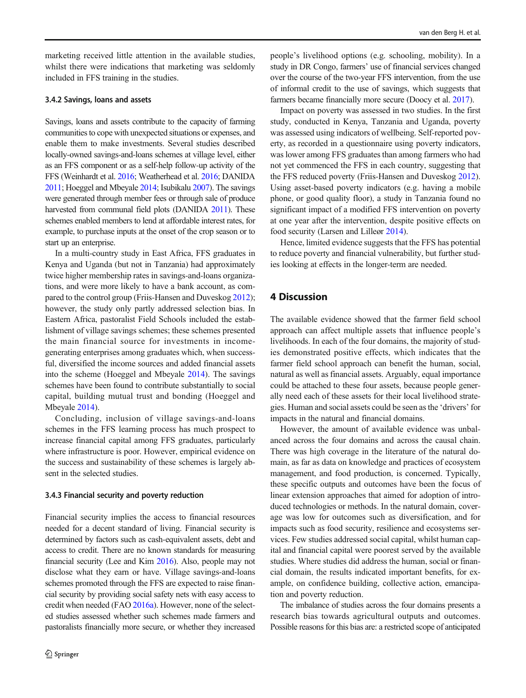marketing received little attention in the available studies, whilst there were indications that marketing was seldomly included in FFS training in the studies.

# 3.4.2 Savings, loans and assets

Savings, loans and assets contribute to the capacity of farming communities to cope with unexpected situations or expenses, and enable them to make investments. Several studies described locally-owned savings-and-loans schemes at village level, either as an FFS component or as a self-help follow-up activity of the FFS (Weinhardt et al. [2016](#page-15-0); Weatherhead et al. [2016;](#page-15-0) DANIDA [2011;](#page-13-0) Hoeggel and Mbeyale [2014](#page-14-0); Isubikalu [2007](#page-14-0)). The savings were generated through member fees or through sale of produce harvested from communal field plots (DANIDA [2011](#page-13-0)). These schemes enabled members to lend at affordable interest rates, for example, to purchase inputs at the onset of the crop season or to start up an enterprise.

In a multi-country study in East Africa, FFS graduates in Kenya and Uganda (but not in Tanzania) had approximately twice higher membership rates in savings-and-loans organizations, and were more likely to have a bank account, as compared to the control group (Friis-Hansen and Duveskog [2012](#page-14-0)); however, the study only partly addressed selection bias. In Eastern Africa, pastoralist Field Schools included the establishment of village savings schemes; these schemes presented the main financial source for investments in incomegenerating enterprises among graduates which, when successful, diversified the income sources and added financial assets into the scheme (Hoeggel and Mbeyale [2014](#page-14-0)). The savings schemes have been found to contribute substantially to social capital, building mutual trust and bonding (Hoeggel and Mbeyale [2014](#page-14-0)).

Concluding, inclusion of village savings-and-loans schemes in the FFS learning process has much prospect to increase financial capital among FFS graduates, particularly where infrastructure is poor. However, empirical evidence on the success and sustainability of these schemes is largely absent in the selected studies.

#### 3.4.3 Financial security and poverty reduction

Financial security implies the access to financial resources needed for a decent standard of living. Financial security is determined by factors such as cash-equivalent assets, debt and access to credit. There are no known standards for measuring financial security (Lee and Kim [2016\)](#page-14-0). Also, people may not disclose what they earn or have. Village savings-and-loans schemes promoted through the FFS are expected to raise financial security by providing social safety nets with easy access to credit when needed (FAO [2016a\)](#page-14-0). However, none of the selected studies assessed whether such schemes made farmers and pastoralists financially more secure, or whether they increased people's livelihood options (e.g. schooling, mobility). In a study in DR Congo, farmers' use of financial services changed over the course of the two-year FFS intervention, from the use of informal credit to the use of savings, which suggests that farmers became financially more secure (Doocy et al. [2017\)](#page-13-0).

Impact on poverty was assessed in two studies. In the first study, conducted in Kenya, Tanzania and Uganda, poverty was assessed using indicators of wellbeing. Self-reported poverty, as recorded in a questionnaire using poverty indicators, was lower among FFS graduates than among farmers who had not yet commenced the FFS in each country, suggesting that the FFS reduced poverty (Friis-Hansen and Duveskog [2012\)](#page-14-0). Using asset-based poverty indicators (e.g. having a mobile phone, or good quality floor), a study in Tanzania found no significant impact of a modified FFS intervention on poverty at one year after the intervention, despite positive effects on food security (Larsen and Lilleør [2014\)](#page-14-0).

Hence, limited evidence suggests that the FFS has potential to reduce poverty and financial vulnerability, but further studies looking at effects in the longer-term are needed.

# 4 Discussion

The available evidence showed that the farmer field school approach can affect multiple assets that influence people's livelihoods. In each of the four domains, the majority of studies demonstrated positive effects, which indicates that the farmer field school approach can benefit the human, social, natural as well as financial assets. Arguably, equal importance could be attached to these four assets, because people generally need each of these assets for their local livelihood strategies. Human and social assets could be seen as the 'drivers' for impacts in the natural and financial domains.

However, the amount of available evidence was unbalanced across the four domains and across the causal chain. There was high coverage in the literature of the natural domain, as far as data on knowledge and practices of ecosystem management, and food production, is concerned. Typically, these specific outputs and outcomes have been the focus of linear extension approaches that aimed for adoption of introduced technologies or methods. In the natural domain, coverage was low for outcomes such as diversification, and for impacts such as food security, resilience and ecosystems services. Few studies addressed social capital, whilst human capital and financial capital were poorest served by the available studies. Where studies did address the human, social or financial domain, the results indicated important benefits, for example, on confidence building, collective action, emancipation and poverty reduction.

The imbalance of studies across the four domains presents a research bias towards agricultural outputs and outcomes. Possible reasons for this bias are: a restricted scope of anticipated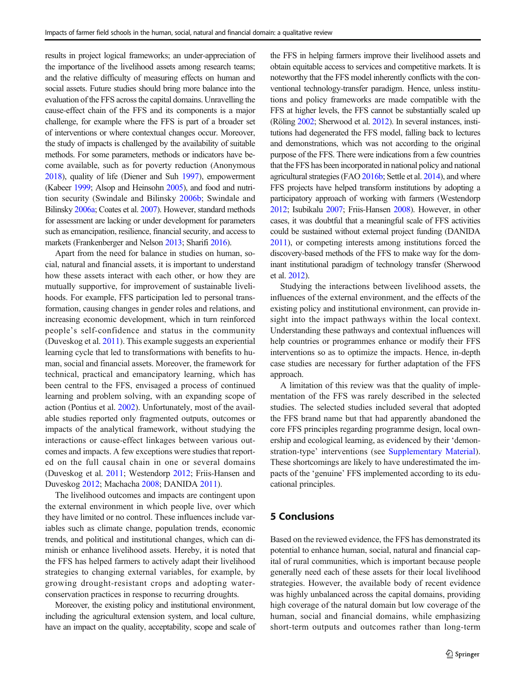results in project logical frameworks; an under-appreciation of the importance of the livelihood assets among research teams; and the relative difficulty of measuring effects on human and social assets. Future studies should bring more balance into the evaluation of the FFS across the capital domains. Unravelling the cause-effect chain of the FFS and its components is a major challenge, for example where the FFS is part of a broader set of interventions or where contextual changes occur. Moreover, the study of impacts is challenged by the availability of suitable methods. For some parameters, methods or indicators have become available, such as for poverty reduction (Anonymous [2018](#page-13-0)), quality of life (Diener and Suh [1997](#page-13-0)), empowerment (Kabeer [1999;](#page-14-0) Alsop and Heinsohn [2005](#page-13-0)), and food and nutrition security (Swindale and Bilinsky [2006b](#page-15-0); Swindale and Bilinsky [2006a](#page-15-0); Coates et al. [2007\)](#page-13-0). However, standard methods for assessment are lacking or under development for parameters such as emancipation, resilience, financial security, and access to markets (Frankenberger and Nelson [2013](#page-14-0); Sharifi [2016](#page-15-0)).

Apart from the need for balance in studies on human, social, natural and financial assets, it is important to understand how these assets interact with each other, or how they are mutually supportive, for improvement of sustainable livelihoods. For example, FFS participation led to personal transformation, causing changes in gender roles and relations, and increasing economic development, which in turn reinforced people's self-confidence and status in the community (Duveskog et al. [2011\)](#page-14-0). This example suggests an experiential learning cycle that led to transformations with benefits to human, social and financial assets. Moreover, the framework for technical, practical and emancipatory learning, which has been central to the FFS, envisaged a process of continued learning and problem solving, with an expanding scope of action (Pontius et al. [2002](#page-15-0)). Unfortunately, most of the available studies reported only fragmented outputs, outcomes or impacts of the analytical framework, without studying the interactions or cause-effect linkages between various outcomes and impacts. A few exceptions were studies that reported on the full causal chain in one or several domains (Duveskog et al. [2011;](#page-14-0) Westendorp [2012;](#page-15-0) Friis-Hansen and Duveskog [2012;](#page-14-0) Machacha [2008](#page-14-0); DANIDA [2011](#page-13-0)).

The livelihood outcomes and impacts are contingent upon the external environment in which people live, over which they have limited or no control. These influences include variables such as climate change, population trends, economic trends, and political and institutional changes, which can diminish or enhance livelihood assets. Hereby, it is noted that the FFS has helped farmers to actively adapt their livelihood strategies to changing external variables, for example, by growing drought-resistant crops and adopting waterconservation practices in response to recurring droughts.

Moreover, the existing policy and institutional environment, including the agricultural extension system, and local culture, have an impact on the quality, acceptability, scope and scale of the FFS in helping farmers improve their livelihood assets and obtain equitable access to services and competitive markets. It is noteworthy that the FFS model inherently conflicts with the conventional technology-transfer paradigm. Hence, unless institutions and policy frameworks are made compatible with the FFS at higher levels, the FFS cannot be substantially scaled up (Röling [2002;](#page-15-0) Sherwood et al. [2012\)](#page-15-0). In several instances, institutions had degenerated the FFS model, falling back to lectures and demonstrations, which was not according to the original purpose of the FFS. There were indications from a few countries that the FFS has been incorporated in national policy and national agricultural strategies (FAO [2016b;](#page-14-0) Settle et al. [2014\)](#page-15-0), and where FFS projects have helped transform institutions by adopting a participatory approach of working with farmers (Westendorp [2012](#page-15-0); Isubikalu [2007](#page-14-0); Friis-Hansen [2008\)](#page-14-0). However, in other cases, it was doubtful that a meaningful scale of FFS activities could be sustained without external project funding (DANIDA [2011\)](#page-13-0), or competing interests among institutions forced the discovery-based methods of the FFS to make way for the dominant institutional paradigm of technology transfer (Sherwood et al. [2012](#page-15-0)).

Studying the interactions between livelihood assets, the influences of the external environment, and the effects of the existing policy and institutional environment, can provide insight into the impact pathways within the local context. Understanding these pathways and contextual influences will help countries or programmes enhance or modify their FFS interventions so as to optimize the impacts. Hence, in-depth case studies are necessary for further adaptation of the FFS approach.

A limitation of this review was that the quality of implementation of the FFS was rarely described in the selected studies. The selected studies included several that adopted the FFS brand name but that had apparently abandoned the core FFS principles regarding programme design, local ownership and ecological learning, as evidenced by their 'demonstration-type' interventions (see Supplementary Material). These shortcomings are likely to have underestimated the impacts of the 'genuine' FFS implemented according to its educational principles.

# 5 Conclusions

Based on the reviewed evidence, the FFS has demonstrated its potential to enhance human, social, natural and financial capital of rural communities, which is important because people generally need each of these assets for their local livelihood strategies. However, the available body of recent evidence was highly unbalanced across the capital domains, providing high coverage of the natural domain but low coverage of the human, social and financial domains, while emphasizing short-term outputs and outcomes rather than long-term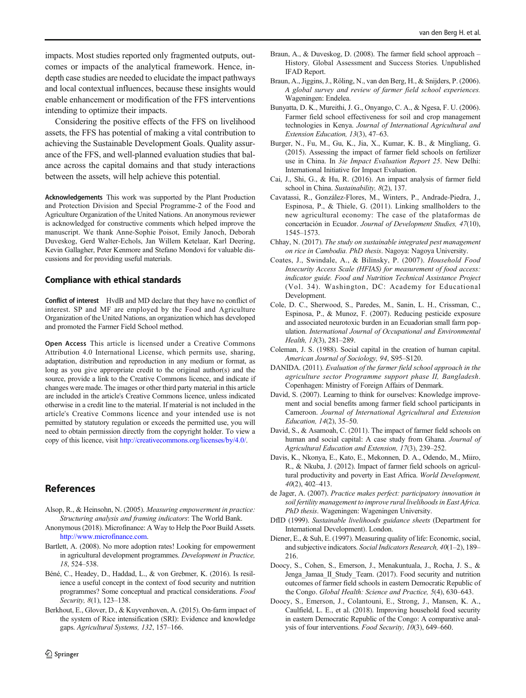<span id="page-13-0"></span>impacts. Most studies reported only fragmented outputs, outcomes or impacts of the analytical framework. Hence, indepth case studies are needed to elucidate the impact pathways and local contextual influences, because these insights would enable enhancement or modification of the FFS interventions intending to optimize their impacts.

Considering the positive effects of the FFS on livelihood assets, the FFS has potential of making a vital contribution to achieving the Sustainable Development Goals. Quality assurance of the FFS, and well-planned evaluation studies that balance across the capital domains and that study interactions between the assets, will help achieve this potential.

Acknowledgements This work was supported by the Plant Production and Protection Division and Special Programme-2 of the Food and Agriculture Organization of the United Nations. An anonymous reviewer is acknowledged for constructive comments which helped improve the manuscript. We thank Anne-Sophie Poisot, Emily Janoch, Deborah Duveskog, Gerd Walter-Echols, Jan Willem Ketelaar, Karl Deering, Kevin Gallagher, Peter Kenmore and Stefano Mondovi for valuable discussions and for providing useful materials.

# Compliance with ethical standards

Conflict of interest HvdB and MD declare that they have no conflict of interest. SP and MF are employed by the Food and Agriculture Organization of the United Nations, an organization which has developed and promoted the Farmer Field School method.

Open Access This article is licensed under a Creative Commons Attribution 4.0 International License, which permits use, sharing, adaptation, distribution and reproduction in any medium or format, as long as you give appropriate credit to the original author(s) and the source, provide a link to the Creative Commons licence, and indicate if changes were made. The images or other third party material in this article are included in the article's Creative Commons licence, unless indicated otherwise in a credit line to the material. If material is not included in the article's Creative Commons licence and your intended use is not permitted by statutory regulation or exceeds the permitted use, you will need to obtain permission directly from the copyright holder. To view a copy of this licence, visit [http://creativecommons.org/licenses/by/4.0/.](http://creativecommons.org/licenses/by/4.0/)

# References

- Alsop, R., & Heinsohn, N. (2005). Measuring empowerment in practice: Structuring analysis and framing indicators: The World Bank.
- Anonymous (2018). Microfinance: A Way to Help the Poor Build Assets. [http://www.microfinance.com](http://creativecommons.org/licenses/by/4.0/).
- Bartlett, A. (2008). No more adoption rates! Looking for empowerment in agricultural development programmes. Development in Practice, 18, 524–538.
- Béné, C., Headey, D., Haddad, L., & von Grebmer, K. (2016). Is resilience a useful concept in the context of food security and nutrition programmes? Some conceptual and practical considerations. Food Security, 8(1), 123-138.
- Berkhout, E., Glover, D., & Kuyvenhoven, A. (2015). On-farm impact of the system of Rice intensification (SRI): Evidence and knowledge gaps. Agricultural Systems, 132, 157–166.
- Braun, A., & Duveskog, D. (2008). The farmer field school approach History, Global Assessment and Success Stories. Unpublished IFAD Report.
- Braun, A., Jiggins, J., Röling, N., van den Berg, H., & Snijders, P. (2006). A global survey and review of farmer field school experiences. Wageningen: Endelea.
- Bunyatta, D. K., Mureithi, J. G., Onyango, C. A., & Ngesa, F. U. (2006). Farmer field school effectiveness for soil and crop management technologies in Kenya. Journal of International Agricultural and Extension Education, 13(3), 47–63.
- Burger, N., Fu, M., Gu, K., Jia, X., Kumar, K. B., & Mingliang, G. (2015). Assessing the impact of farmer field schools on fertilizer use in China. In 3ie Impact Evaluation Report 25. New Delhi: International Initiative for Impact Evaluation.
- Cai, J., Shi, G., & Hu, R. (2016). An impact analysis of farmer field school in China. Sustainability, 8(2), 137.
- Cavatassi, R., González-Flores, M., Winters, P., Andrade-Piedra, J., Espinosa, P., & Thiele, G. (2011). Linking smallholders to the new agricultural economy: The case of the plataformas de concertación in Ecuador. Journal of Development Studies, 47(10), 1545–1573.
- Chhay, N. (2017). The study on sustainable integrated pest management on rice in Cambodia. PhD thesis. Nagoya: Nagoya University.
- Coates, J., Swindale, A., & Bilinsky, P. (2007). Household Food Insecurity Access Scale (HFIAS) for measurement of food access: indicator guide. Food and Nutrition Technical Assistance Project (Vol. 34). Washington, DC: Academy for Educational Development.
- Cole, D. C., Sherwood, S., Paredes, M., Sanin, L. H., Crissman, C., Espinosa, P., & Munoz, F. (2007). Reducing pesticide exposure and associated neurotoxic burden in an Ecuadorian small farm population. International Journal of Occupational and Environmental Health, 13(3), 281–289.
- Coleman, J. S. (1988). Social capital in the creation of human capital. American Journal of Sociology, 94, S95–S120.
- DANIDA. (2011). Evaluation of the farmer field school approach in the agriculture sector Programme support phase II, Bangladesh. Copenhagen: Ministry of Foreign Affairs of Denmark.
- David, S. (2007). Learning to think for ourselves: Knowledge improvement and social benefits among farmer field school participants in Cameroon. Journal of International Agricultural and Extension Education, 14(2), 35–50.
- David, S., & Asamoah, C. (2011). The impact of farmer field schools on human and social capital: A case study from Ghana. Journal of Agricultural Education and Extension, 17(3), 239–252.
- Davis, K., Nkonya, E., Kato, E., Mekonnen, D. A., Odendo, M., Miiro, R., & Nkuba, J. (2012). Impact of farmer field schools on agricultural productivity and poverty in East Africa. World Development, 40(2), 402–413.
- de Jager, A. (2007). Practice makes perfect: participatory innovation in soil fertility management to improve rural livelihoods in East Africa. PhD thesis. Wageningen: Wageningen University.
- DfID (1999). Sustainable livelihoods guidance sheets (Department for International Development). London.
- Diener, E., & Suh, E. (1997). Measuring quality of life: Economic, social, and subjective indicators. Social Indicators Research, 40(1–2), 189– 216.
- Doocy, S., Cohen, S., Emerson, J., Menakuntuala, J., Rocha, J. S., & Jenga Jamaa II Study Team. (2017). Food security and nutrition outcomes of farmer field schools in eastern Democratic Republic of the Congo. Global Health: Science and Practice, 5(4), 630-643.
- Doocy, S., Emerson, J., Colantouni, E., Strong, J., Mansen, K. A., Caulfield, L. E., et al. (2018). Improving household food security in eastern Democratic Republic of the Congo: A comparative analysis of four interventions. Food Security, 10(3), 649–660.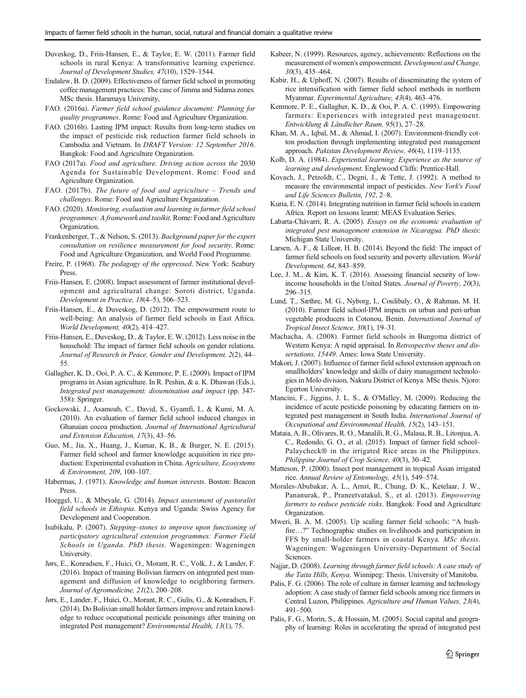- <span id="page-14-0"></span>Duveskog, D., Friis-Hansen, E., & Taylor, E. W. (2011). Farmer field schools in rural Kenya: A transformative learning experience. Journal of Development Studies, 47(10), 1529–1544.
- Endalew, B. D. (2009). Effectiveness of farmer field school in promoting coffee management practices: The case of Jimma and Sidama zones. MSc thesis. Haramaya University,
- FAO. (2016a). Farmer field school guidance document: Planning for quality programmes. Rome: Food and Agriculture Organization.
- FAO. (2016b). Lasting IPM impact: Results from long-term studies on the impact of pesticide risk reduction farmer field schools in Cambodia and Vietnam. In DRAFT Version: 12 September 2016. Bangkok: Food and Agriculture Organization.
- FAO (2017a). Food and agriculture. Driving action across the 2030 Agenda for Sustainable Development. Rome: Food and Agriculture Organization.
- FAO. (2017b). The future of food and agriculture Trends and challenges. Rome: Food and Agriculture Organization.
- FAO. (2020). Monitoring, evaluation and learning in farmer field school programmes: A framework and toolkit. Rome: Food and Agriculture Organization.
- Frankenberger, T., & Nelson, S. (2013). Background paper for the expert consultation on resilience measurement for food security. Rome: Food and Agriculture Organization, and World Food Programme.
- Freire, P. (1968). The pedagogy of the oppressed. New York: Seabury Press.
- Friis-Hansen, E. (2008). Impact assessment of farmer institutional development and agricultural change: Soroti district, Uganda. Development in Practice, 18(4–5), 506–523.
- Friis-Hansen, E., & Duveskog, D. (2012). The empowerment route to well-being: An analysis of farmer field schools in East Africa. World Development, 40(2), 414–427.
- Friis-Hansen, E., Duveskog, D., & Taylor, E. W. (2012). Less noise in the household: The impact of farmer field schools on gender relations. Journal of Research in Peace, Gender and Development, 2(2), 44– 55.
- Gallagher, K. D., Ooi, P. A. C., & Kenmore, P. E. (2009). Impact of IPM programs in Asian agriculture. In R. Peshin, & a. K. Dhawan (Eds.), Integrated pest management: dissemination and impact (pp. 347- 358): Springer.
- Gockowski, J., Asamoah, C., David, S., Gyamfi, I., & Kumi, M. A. (2010). An evaluation of farmer field school induced changes in Ghanaian cocoa production. Journal of International Agricultural and Extension Education, 17(3), 43–56.
- Guo, M., Jia, X., Huang, J., Kumar, K. B., & Burger, N. E. (2015). Farmer field school and farmer knowledge acquisition in rice production: Experimental evaluation in China. Agriculture, Ecosystems & Environment, 209, 100–107.
- Habermas, J. (1971). Knowledge and human interests. Boston: Beacon Press.
- Hoeggel, U., & Mbeyale, G. (2014). Impact assessment of pastoralist field schools in Ethiopia. Kenya and Uganda: Swiss Agency for Development and Cooperation.
- Isubikalu, P. (2007). Stepping–stones to improve upon functioning of participatory agricultural extension programmes: Farmer Field Schools in Uganda. PhD thesis. Wageningen: Wageningen University.
- Jørs, E., Konradsen, F., Huici, O., Morant, R. C., Volk, J., & Lander, F. (2016). Impact of training Bolivian farmers on integrated pest management and diffusion of knowledge to neighboring farmers. Journal of Agromedicine, 21(2), 200–208.
- Jørs, E., Lander, F., Huici, O., Morant, R. C., Gulis, G., & Konradsen, F. (2014). Do Bolivian small holder farmers improve and retain knowledge to reduce occupational pesticide poisonings after training on integrated Pest management? Environmental Health, 13(1), 75.
- Kabeer, N. (1999). Resources, agency, achievements: Reflections on the measurement of women's empowerment. Development and Change, 30(3), 435–464.
- Kabir, H., & Uphoff, N. (2007). Results of disseminating the system of rice intensification with farmer field school methods in northern Myanmar. Experimental Agriculture, 43(4), 463–476.
- Kenmore, P. E., Gallagher, K. D., & Ooi, P. A. C. (1995). Empowering farmers: Experiences with integrated pest management. Entwicklung & Ländlicher Raum, 95(1), 27–28.
- Khan, M. A., Iqbal, M., & Ahmad, I. (2007). Environment-friendly cotton production through implementing integrated pest management approach. Pakistan Development Review, 46(4), 1119–1135.
- Kolb, D. A. (1984). Experiential learning: Experience as the source of learning and development. Englewood Cliffs: Prentice-Hall.
- Kovach, J., Petzoldt, C., Degni, J., & Tette, J. (1992). A method to measure the environmental impact of pesticides. New York's Food and Life Sciences Bulletin, 192, 2–8.
- Kuria, E. N. (2014). Integrating nutrition in farmer field schools in eastern Africa. Report on lessons learnt: MEAS Evaluation Series.
- Labarta-Chávarri, R. A. (2005). Essays on the economic evaluation of integrated pest management extension in Nicaragua. PhD thesis: Michigan State University.
- Larsen, A. F., & Lilleør, H. B. (2014). Beyond the field: The impact of farmer field schools on food security and poverty alleviation. World Development, 64, 843–859.
- Lee, J. M., & Kim, K. T. (2016). Assessing financial security of lowincome households in the United States. Journal of Poverty, 20(3), 296–315.
- Lund, T., Sæthre, M. G., Nyborg, I., Coulibaly, O., & Rahman, M. H. (2010). Farmer field school-IPM impacts on urban and peri-urban vegetable producers in Cotonou, Benin. International Journal of Tropical Insect Science, 30(1), 19–31.
- Machacha, A. (2008). Farmer field schools in Bungoma district of Western Kenya: A rapid appraisal. In Retrospective theses and dissertations, 15449. Ames: Iowa State University.
- Makori, J. (2007). Influence of farmer field school extension approach on smallholders' knowledge and skills of dairy management technologies in Molo division, Nakuru District of Kenya. MSc thesis. Njoro: Egerton University.
- Mancini, F., Jiggins, J. L. S., & O'Malley, M. (2009). Reducing the incidence of acute pesticide poisoning by educating farmers on integrated pest management in South India. International Journal of Occupational and Environmental Health, 15(2), 143–151.
- Mataia, A. B., Olivares, R. O., Manalili, R. G., Malasa, R. B., Litonjua, A. C., Redondo, G. O., et al. (2015). Impact of farmer field school– Palaycheck® in the irrigated Rice areas in the Philippines. Philippine Journal of Crop Science, 40(3), 30–42.
- Matteson, P. (2000). Insect pest management in tropical Asian irrigated rice. Annual Review of Entomology, 45(1), 549–574.
- Morales-Abubakar, A. L., Arnst, R., Chung, D. K., Ketelaar, J. W., Pananurak, P., Praneetvatakul, S., et al. (2013). Empowering farmers to reduce pesticide risks. Bangkok: Food and Agriculture Organization.
- Mweri, B. A. M. (2005). Up scaling farmer field schools: "A bushfire…?" Technographic studies on livelihoods and participation in FFS by small-holder farmers in coastal Kenya. MSc thesis. Wageningen: Wageningen University-Department of Social Sciences.
- Najjar, D. (2008). Learning through farmer field schools: A case study of the Taita Hills, Kenya. Winnipeg: Thesis. University of Manitoba.
- Palis, F. G. (2006). The role of culture in farmer learning and technology adoption: A case study of farmer field schools among rice farmers in Central Luzon, Philippines. Agriculture and Human Values, 23(4), 491–500.
- Palis, F. G., Morin, S., & Hossain, M. (2005). Social capital and geography of learning: Roles in accelerating the spread of integrated pest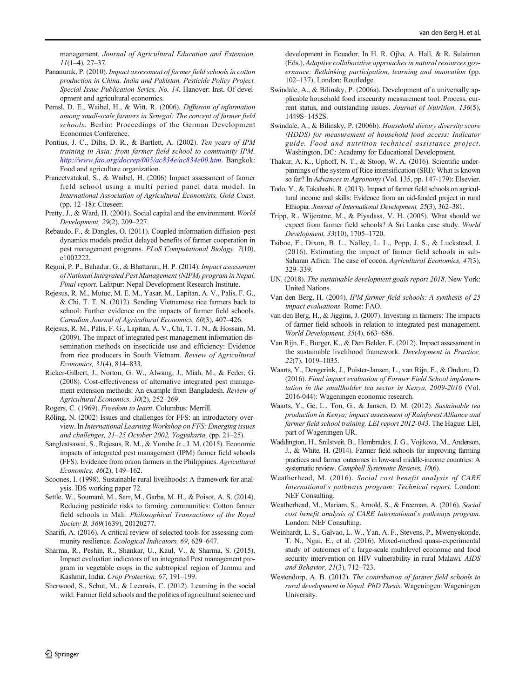<span id="page-15-0"></span>management. Journal of Agricultural Education and Extension,  $11(1-4)$ , 27-37.

- Pananurak, P. (2010). Impact assessment of farmer field schools in cotton production in China, India and Pakistan. Pesticide Policy Project, Special Issue Publication Series, No. 14. Hanover: Inst. Of development and agricultural economics.
- Pemsl, D. E., Waibel, H., & Witt, R. (2006). Diffusion of information among small-scale farmers in Senegal: The concept of farmer field schools. Berlin: Proceedings of the German Development Economics Conference.
- Pontius, J. C., Dilts, D. R., & Bartlett, A. (2002). Ten years of IPM training in Asia: from farmer field school to community IPM. [http://www.fao.org/docrep/005/ac834e/ac834e00.htm](http://creativecommons.org/licenses/by/4.0/). Bangkok: Food and agriculture organization.
- Praneetvatakul, S., & Waibel, H. (2006) Impact assessment of farmer field school using a multi period panel data model. In International Association of Agricultural Economists, Gold Coast, (pp. 12–18): Citeseer.
- Pretty, J., & Ward, H. (2001). Social capital and the environment. World Development, 29(2), 209–227.
- Rebaudo, F., & Dangles, O. (2011). Coupled information diffusion–pest dynamics models predict delayed benefits of farmer cooperation in pest management programs. PLoS Computational Biology, 7(10), e1002222.
- Regmi, P. P., Bahadur, G., & Bhattarari, H. P. (2014). Impact assessment of National Integrated Pest Management (NIPM) program in Nepal. Final report. Lalitpur: Nepal Development Research Institute.
- Rejesus, R. M., Mutuc, M. E. M., Yasar, M., Lapitan, A. V., Palis, F. G., & Chi, T. T. N. (2012). Sending Vietnamese rice farmers back to school: Further evidence on the impacts of farmer field schools. Canadian Journal of Agricultural Economics, 60(3), 407–426.
- Rejesus, R. M., Palis, F. G., Lapitan, A. V., Chi, T. T. N., & Hossain, M. (2009). The impact of integrated pest management information dissemination methods on insecticide use and efficiency: Evidence from rice producers in South Vietnam. Review of Agricultural Economics, 31(4), 814–833.
- Ricker-Gilbert, J., Norton, G. W., Alwang, J., Miah, M., & Feder, G. (2008). Cost-effectiveness of alternative integrated pest management extension methods: An example from Bangladesh. Review of Agricultural Economics, 30(2), 252–269.

Rogers, C. (1969). Freedom to learn. Columbus: Merrill.

- Röling, N. (2002) Issues and challenges for FFS: an introductory overview. In International Learning Workshop on FFS: Emerging issues and challenges, 21–25 October 2002, Yogyakarta, (pp. 21–25).
- Sanglestsawai, S., Rejesus, R. M., & Yorobe Jr., J. M. (2015). Economic impacts of integrated pest management (IPM) farmer field schools (FFS): Evidence from onion farmers in the Philippines. Agricultural Economics, 46(2), 149–162.
- Scoones, I. (1998). Sustainable rural livelihoods: A framework for analysis. IDS working paper 72.
- Settle, W., Soumaré, M., Sarr, M., Garba, M. H., & Poisot, A. S. (2014). Reducing pesticide risks to farming communities: Cotton farmer field schools in Mali. Philosophical Transactions of the Royal Society B, 369(1639), 20120277.
- Sharifi, A. (2016). A critical review of selected tools for assessing community resilience. Ecological Indicators, 69, 629–647.
- Sharma, R., Peshin, R., Shankar, U., Kaul, V., & Sharma, S. (2015). Impact evaluation indicators of an integrated Pest management program in vegetable crops in the subtropical region of Jammu and Kashmir, India. Crop Protection, 67, 191–199.
- Sherwood, S., Schut, M., & Leeuwis, C. (2012). Learning in the social wild: Farmer field schools and the politics of agricultural science and

development in Ecuador. In H. R. Ojha, A. Hall, & R. Sulaiman (Eds.), Adaptive collaborative approaches in natural resources governance: Rethinking participation, learning and innovation (pp. 102–137). London: Routledge.

- Swindale, A., & Bilinsky, P. (2006a). Development of a universally applicable household food insecurity measurement tool: Process, current status, and outstanding issues. Journal of Nutrition, 136(5), 1449S–1452S.
- Swindale, A., & Bilinsky, P. (2006b). Household dietary diversity score (HDDS) for measurement of household food access: Indicator guide. Food and nutrition technical assistance project. Washington, DC: Academy for Educational Development.
- Thakur, A. K., Uphoff, N. T., & Stoop, W. A. (2016). Scientific underpinnings of the system of Rice intensification (SRI): What is known so far? In Advances in Agronomy (Vol. 135, pp. 147-179): Elsevier.
- Todo, Y., & Takahashi, R. (2013). Impact of farmer field schools on agricultural income and skills: Evidence from an aid-funded project in rural Ethiopia. Journal of International Development, 25(3), 362–381.
- Tripp, R., Wijeratne, M., & Piyadasa, V. H. (2005). What should we expect from farmer field schools? A Sri Lanka case study. World Development, 33(10), 1705–1720.
- Tsiboe, F., Dixon, B. L., Nalley, L. L., Popp, J. S., & Luckstead, J. (2016). Estimating the impact of farmer field schools in sub-Saharan Africa: The case of cocoa. Agricultural Economics, 47(3), 329–339.
- UN. (2018). The sustainable development goals report 2018. New York: United Nations.
- Van den Berg, H. (2004). IPM farmer field schools: A synthesis of 25 impact evaluations. Rome: FAO.
- van den Berg, H., & Jiggins, J. (2007). Investing in farmers: The impacts of farmer field schools in relation to integrated pest management. World Development, 35(4), 663–686.
- Van Rijn, F., Burger, K., & Den Belder, E. (2012). Impact assessment in the sustainable livelihood framework. Development in Practice, 22(7), 1019–1035.
- Waarts, Y., Dengerink, J., Puister-Jansen, L., van Rijn, F., & Onduru, D. (2016). Final impact evaluation of Farmer Field School implementation in the smallholder tea sector in Kenya, 2009-2016 (Vol. 2016-044): Wageningen economic research.
- Waarts, Y., Ge, L., Ton, G., & Jansen, D. M. (2012). Sustainable tea production in Kenya; impact assessment of Rainforest Alliance and farmer field school training. LEI report 2012-043. The Hague: LEI, part of Wageningen UR.
- Waddington, H., Snilstveit, B., Hombrados, J. G., Vojtkova, M., Anderson, J., & White, H. (2014). Farmer field schools for improving farming practices and farmer outcomes in low-and middle-income countries: A systematic review. Campbell Systematic Reviews, 10(6).
- Weatherhead, M. (2016). Social cost benefit analysis of CARE International's pathways program: Technical report. London: NEF Consulting.
- Weatherhead, M., Mariam, S., Arnold, S., & Freeman, A. (2016). Social cost benefit analysis of CARE International's pathways program. London: NEF Consulting.
- Weinhardt, L. S., Galvao, L. W., Yan, A. F., Stevens, P., Mwenyekonde, T. N., Ngui, E., et al. (2016). Mixed-method quasi-experimental study of outcomes of a large-scale multilevel economic and food security intervention on HIV vulnerability in rural Malawi. AIDS and Behavior, 21(3), 712–723.
- Westendorp, A. B. (2012). The contribution of farmer field schools to rural development in Nepal. PhD Thesis. Wageningen: Wageningen University.